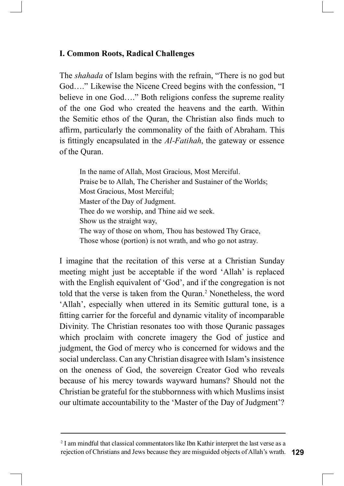## **I. Common Roots, Radical Challenges**

The *shahada* of Islam begins with the refrain, "There is no god but God...." Likewise the Nicene Creed begins with the confession, "I believe in one God...." Both religions confess the supreme reality of the one God who created the heavens and the earth. Within the Semitic ethos of the Quran, the Christian also finds much to affirm, particularly the commonality of the faith of Abraham. This is fittingly encapsulated in the *Al-Fatihah*, the gateway or essence of the Quran.

In the name of Allah, Most Gracious, Most Merciful. Praise be to Allah, The Cherisher and Sustainer of the Worlds; Most Gracious, Most Merciful; Master of the Day of Judgment. Thee do we worship, and Thine aid we seek. Show us the straight way, The way of those on whom, Thou has bestowed Thy Grace, Those whose (portion) is not wrath, and who go not astray.

I imagine that the recitation of this verse at a Christian Sunday meeting might just be acceptable if the word 'Allah' is replaced with the English equivalent of 'God', and if the congregation is not told that the verse is taken from the Quran.<sup>2</sup> Nonetheless, the word 'Allah', especially when uttered in its Semitic guttural tone, is a fitting carrier for the forceful and dynamic vitality of incomparable Divinity. The Christian resonates too with those Quranic passages which proclaim with concrete imagery the God of justice and judgment, the God of mercy who is concerned for widows and the social underclass. Can any Christian disagree with Islam's insistence on the oneness of God, the sovereign Creator God who reveals because of his mercy towards wayward humans? Should not the Christian be grateful for the stubbornness with which Muslims insist our ultimate accountability to the 'Master of the Day of Judgment'?

<sup>&</sup>lt;sup>2</sup> I am mindful that classical commentators like Ibn Kathir interpret the last verse as a rejection of Christians and Jews because they are misguided objects of Allah's wrath. 129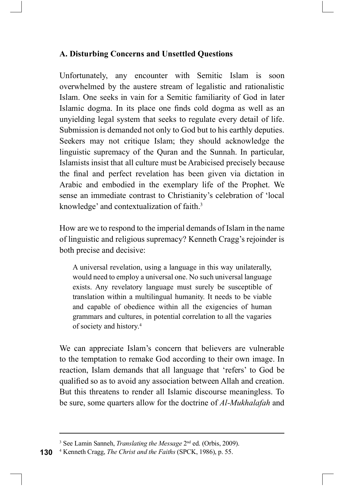## A. Disturbing Concerns and Unsettled Questions

instice supremacy of the Quran and the Sunnah. In particular,<br>unistic supremacy of the Quran and the Sunnah. In particular,<br>mists insist that all culture must be Arabicised precisely because<br>final and perfect revelation ha Unfortunately, any encounter with Semitic Islam is soon A. Disturbing Concerns and Unsettled Questions<br>
Unfortunately, any encounter with Semitic Islam is soon<br>
overwhelmed by the austere stream of legalistic and rationalistic<br>
Islam. One seeks in vain for a Semitic familiarity Islam. One seeks in vain for a Semitic familiarity of God in later A. Disturbing Concerns and Unsettled Questions<br>
Unfortunately, any encounter with Semitic Islam is soon<br>
overwhelmed by the austerc stream of legalistic and rationalistic<br>
Islam. One seeks in vain for a Semitic familiarity unyielding legal system that seeks to regulate every detail of life. Submission is demanded not only to God but to his earthly deputies. Seekers may not critique Islam; they should acknowledge the linguistic supremacy of the Quran and the Sunnah. In particular, Islamists insist that all culture must be Arabicised precisely because A. Disturbing Concerns and Unsettled Questions<br>Unfortunately, any encounter with Semitic Islam is soon<br>overwhelmed by the austere stream of legalistic and rationalistic<br>Islam. One seeks in vain for a Semitic familiarity of A. Disturbing Concerns and Unsettled Questions<br>
Unfortunately, any encounter with Semitic Islam is soon<br>
overwhelmed by the austere stream of legalistic and rationalistic<br>
Islam. One seeks in vain for a Semitic familiarity sense an immediate contrast to Christianity's celebration of 'local knowledge' and contextualization of faith.

How are we to respond to the imperial demands of Islam in the name of linguistic and religious supremacy? Kenneth Cragg's rejoinder is both precise and decisive:

A universal revelation, using a language in this way unilaterally, would need to employ a universal one. No such universal language translation within a multilingual humanity. It needs to be viable and capable of obedience within all the exigencies of human grammars and cultures, in potential correlation to all the vagaries of society and history. $4$ 

We can appreciate Islam's concern that believers are vulnerable to the temptation to remake God according to their own image. In How are we to respond to the imperial demands of Islam in the name<br>of linguistic and religious supremacy? Kenneth Cragg's rejoinder is<br>both precise and decisive:<br>A universal revelation, using a language in this way unilat qualified so as to avoid any association between Allah and creation. both precise and decisive:<br>
A universal revelation, using a language in this way unilaterally,<br>
would need to employ a universal one. No such universal language<br>
exists. Any revelatory language must surely be susceptible o be sure, some quarters allow for the doctrine of Al-Mukhalafah and

<sup>&</sup>lt;sup>3</sup> See Lamin Sanneh, *Translating the Message*  $2<sup>nd</sup>$  ed. (Orbis, 2009).

**<sup>130</sup>** <sup>4</sup> Kenneth Cragg, *The Christ and the Faiths* (SPCK, 1986), p. 55.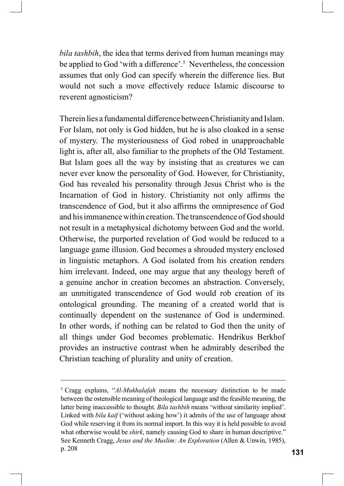bila tashbih, the idea that terms derived from human meanings may be applied to God 'with a difference'.<sup>5</sup> Nevertheless, the concession assumes that only God can specify wherein the difference lies. But would not such a move effectively reduce Islamic discourse to reverent agnosticism?

Therein lies a fundamental difference between Christianity and Islam. For Islam, not only is God hidden, but he is also cloaked in a sense bila tashbih, the idea that terms derived from human meanings may<br>be applied to God 'with a difference'.<sup>5</sup> Nevertheless, the concession<br>assumes that only God can specify wherein the difference lies. But<br>would not such a m light is, after all, also familiar to the prophets of the Old Testament. *bila tashbih*, the idea that terms derived from human meanings may<br>be applied to God 'with a difference'.<sup>5</sup> Nevertheless, the concession<br>assumes that only God can specify wherein the difference lies. But<br>would not such a never ever know the personality of God. However, for Christianity, *bila tashbih*, the idea that terms derived from human meanings may<br>be applied to God 'with a difference'.<sup>5</sup> Nevertheless, the concession<br>assumes that only God can specify wherein the difference lies. But<br>would not such a Incarnation of God in history. Christianity not only affirms the transcendence of God, but it also affirms the omnipresence of God and his immanence within creation. The transcendence of God should not result in a metaphysical dichotomy between God and the world. Otherwise, the purported revelation of God would be reduced to a language game illusion. God becomes a shrouded mystery enclosed Therem lies a fundamental difference between Christianity and Islam.<br>For Islam, not only is God hidden, but he is also cloaked in a sense<br>of mystery. The mysteriousness of God robed in unapproachable<br>light is, after all, a him irrelevant. Indeed, one may argue that any theology bereft of a genuine anchor in creation becomes an abstraction. Conversely, Inght is, atter all, also laminar to the prophets of the Old Testament.<br>But Islam goes all the way by insisting that as creatures we can<br>never ever know the personality of God. However, for Christianity,<br>God has revealed h But Islam goes all the way by msisting that as creatures we can<br>never ever know the personality of God. However, for Christianity,<br>God has revealed his personality through Jesus Christ who is the<br>Incarnation of God in hist never ever know the personality of God. However, for Christianity, God has revealed his personality through Jesus Christ who is the Incarnation of God in history. Christianity not only affirms the transcendence of God, but Incarnation of God in history. Christianity not only affirms the compressendence of God, but it also affirms the omingresence of God shouland his immanence within creation. The transcendence of God should not result in a m provides an instructive contrast when he admirably described the Christian teaching of plurality and unity of creation. deproses a shrouded mystery enclosed<br>in linguistic metaphors. A God isolated from his creation renders<br>in imprelevant. Indeed, one may argue that any theology berefi of<br>a genuine anchor in creation becomes an abstraction.

between the ostensible meaning of theological language and the feasible meaning, the latter being inaccessible to thought. Bila tashbih means 'without similarity implied'. Linked with bila kaif ('without asking how') it admits of the use of language about God while reserving it from its normal import. In this way it is held possible to avoid what otherwise would be *shirk*, namely causing God to share in human descriptive." See Kenneth Cragg, Jesus and the Muslim: An Exploration (Allen & Unwin, 1985), p. 208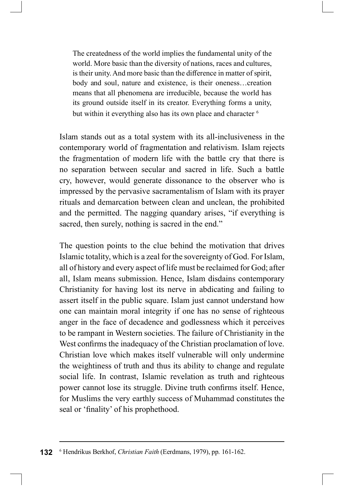The createdness of the world implies the fundamental unity of the world. More basic than the diversity of nations, races and cultures, is their unity. And more basic than the difference in matter of spirit, body and soul, nature and existence, is their oneness...creation means that all phenomena are irreducible, because the world has The createdness of the world implies the fundamental unity of the world. More basic than the diversity of nations, races and cultures, is their unity. And more basic than the difference in matter of spirit, body and soul, but within it everything also has its own place and character <sup>6</sup>

Islam stands out as a total system with its all-inclusiveness in the contemporary world of fragmentation and relativism. Islam rejects the fragmentation of modern life with the battle cry that there is The createdness of the world implies the fundamental unity of the world. More basic than the diversity of nations, races and cultures, is their unity. And more basic than the difference in matter of spirit, body and soul, The createdness of the world implies the fundamental unity of the world. More basic than the diversity of nations, races and cultures, is their unity. And more basic than the difference in matter of spirit, body and soul, impressed by the pervasive sacramentalism of Islam with its prayer rituals and demarcation between clean and unclean, the prohibited is their unity. And more basic than the difference in matter of spirit,<br>body and soul, nature and existence, is their oneness...creation<br>means that all phenomena are irreducible, because the world has<br>its ground outside it sacred, then surely, nothing is sacred in the end."

The question points to the clue behind the motivation that drives Islamic totality, which is a zeal for the sovereignty of God. For Islam, all of history and every aspect of life must be reclaimed for God; after all, Islam means submission. Hence, Islam disdains contemporary contemporary world of tragmentation and relativism. Islam rejects<br>the fragmentation of modern life with the battle cry that there is<br>no separation between secular and sacred in life. Such a battle<br>cry, however, would gener assert itself in the public square. Islam just cannot understand how one can maintain moral integrity if one has no sense of righteous anger in the face of decadence and godlessness which it perceives to be rampant in Western societies. The failure of Christianity in the West confirms the inadequacy of the Christian proclamation of love. Christian love which makes itself vulnerable will only undermine the weightiness of truth and thus its ability to change and regulate The question points to the clue behind the motivation that drives Islamic totality, which is a zeal for the sovereignty of God. For Islam, all of history and every aspect of life must be reclaimed for God; after all, Islam power cannot lose its struggle. Divine truth confirms itself. Hence, for Muslims the very earthly success of Muhammad constitutes the seal or 'finality' of his prophethood.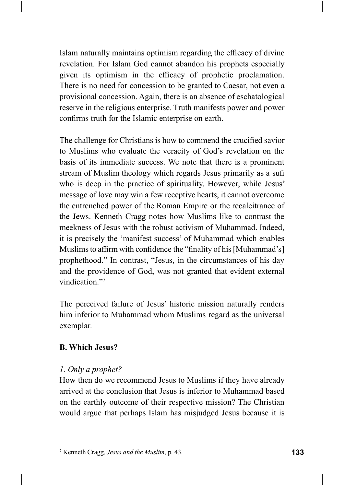Islam naturally maintains optimism regarding the efficacy of divine revelation. For Islam God cannot abandon his prophets especially given its optimism in the efficacy of prophetic proclamation. There is no need for concession to be granted to Caesar, not even a provisional concession. Again, there is an absence of eschatological reserve in the religious enterprise. Truth manifests power and power confirms truth for the Islamic enterprise on earth.

The challenge for Christians is how to commend the crucified savior to Muslims who evaluate the veracity of God's revelation on the basis of its immediate success. We note that there is a prominent stream of Muslim theology which regards Jesus primarily as a sufi who is deep in the practice of spirituality. However, while Jesus' message of love may win a few receptive hearts, it cannot overcome the entrenched power of the Roman Empire or the recalcitrance of the Jews. Kenneth Cragg notes how Muslims like to contrast the meekness of Jesus with the robust activism of Muhammad. Indeed, it is precisely the 'manifest success' of Muhammad which enables Muslims to affirm with confidence the "finality of his [Muhammad's] prophethood." In contrast, "Jesus, in the circumstances of his day and the providence of God, was not granted that evident external vindication."7

The perceived failure of Jesus' historic mission naturally renders him inferior to Muhammad whom Muslims regard as the universal exemplar.

## **B. Which Jesus?**

## 1. Only a prophet?

How then do we recommend Jesus to Muslims if they have already arrived at the conclusion that Jesus is inferior to Muhammad based on the earthly outcome of their respective mission? The Christian would argue that perhaps Islam has misjudged Jesus because it is

<sup>&</sup>lt;sup>7</sup> Kenneth Cragg, Jesus and the Muslim, p. 43.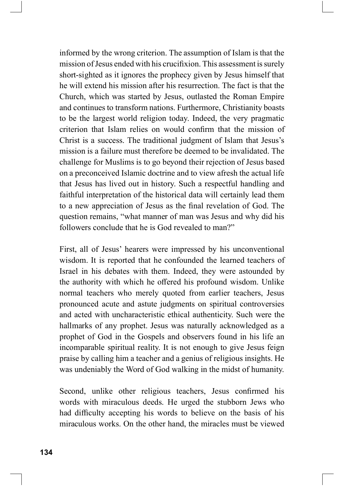informed by the wrong criterion. The assumption of Islam is that the mission of Jesus ended with his crucifixion. This assessment is surely short-sighted as it ignores the prophecy given by Jesus himself that he will extend his mission after his resurrection. The fact is that the Church, which was started by Jesus, outlasted the Roman Empire and continues to transform nations. Furthermore, Christianity boasts to be the largest world religion today. Indeed, the very pragmatic criterion that Islam relies on would confirm that the mission of Christ is a success. The traditional judgment of Islam that Jesus's mission is a failure must therefore be deemed to be invalidated. The challenge for Muslims is to go beyond their rejection of Jesus based on a preconceived Islamic doctrine and to view afresh the actual life that Jesus has lived out in history. Such a respectful handling and faithful interpretation of the historical data will certainly lead them to a new appreciation of Jesus as the final revelation of God. The question remains, "what manner of man was Jesus and why did his followers conclude that he is God revealed to man?"

First, all of Jesus' hearers were impressed by his unconventional wisdom. It is reported that he confounded the learned teachers of Israel in his debates with them. Indeed, they were astounded by the authority with which he offered his profound wisdom. Unlike normal teachers who merely quoted from earlier teachers, Jesus pronounced acute and astute judgments on spiritual controversies and acted with uncharacteristic ethical authenticity. Such were the hallmarks of any prophet. Jesus was naturally acknowledged as a prophet of God in the Gospels and observers found in his life an incomparable spiritual reality. It is not enough to give Jesus feign praise by calling him a teacher and a genius of religious insights. He was undeniably the Word of God walking in the midst of humanity.

Second, unlike other religious teachers, Jesus confirmed his words with miraculous deeds. He urged the stubborn Jews who had difficulty accepting his words to believe on the basis of his miraculous works. On the other hand, the miracles must be viewed